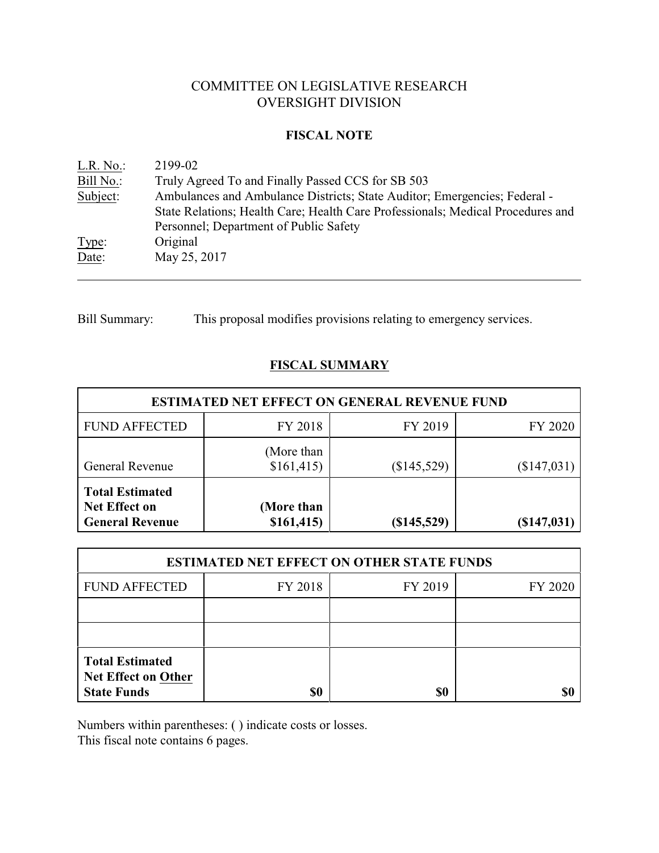# COMMITTEE ON LEGISLATIVE RESEARCH OVERSIGHT DIVISION

### **FISCAL NOTE**

| L.R. No.  | 2199-02                                                                         |
|-----------|---------------------------------------------------------------------------------|
| Bill No.: | Truly Agreed To and Finally Passed CCS for SB 503                               |
| Subject:  | Ambulances and Ambulance Districts; State Auditor; Emergencies; Federal -       |
|           | State Relations; Health Care; Health Care Professionals; Medical Procedures and |
|           | Personnel; Department of Public Safety                                          |
| Type:     | Original                                                                        |
| Date:     | May 25, 2017                                                                    |
|           |                                                                                 |

Bill Summary: This proposal modifies provisions relating to emergency services.

# **FISCAL SUMMARY**

| <b>ESTIMATED NET EFFECT ON GENERAL REVENUE FUND</b>                      |                          |               |               |  |  |
|--------------------------------------------------------------------------|--------------------------|---------------|---------------|--|--|
| <b>FUND AFFECTED</b>                                                     | FY 2018                  | FY 2019       | FY 2020       |  |  |
| <b>General Revenue</b>                                                   | (More than<br>\$161,415) | (\$145,529)   | $(\$147,031)$ |  |  |
| <b>Total Estimated</b><br><b>Net Effect on</b><br><b>General Revenue</b> | (More than<br>\$161,415  | $(\$145,529)$ | $(\$147,031)$ |  |  |

| <b>ESTIMATED NET EFFECT ON OTHER STATE FUNDS</b>                           |                               |     |  |  |  |  |
|----------------------------------------------------------------------------|-------------------------------|-----|--|--|--|--|
| <b>FUND AFFECTED</b>                                                       | FY 2018<br>FY 2019<br>FY 2020 |     |  |  |  |  |
|                                                                            |                               |     |  |  |  |  |
|                                                                            |                               |     |  |  |  |  |
| <b>Total Estimated</b><br><b>Net Effect on Other</b><br><b>State Funds</b> | \$0                           | \$0 |  |  |  |  |

Numbers within parentheses: ( ) indicate costs or losses.

This fiscal note contains 6 pages.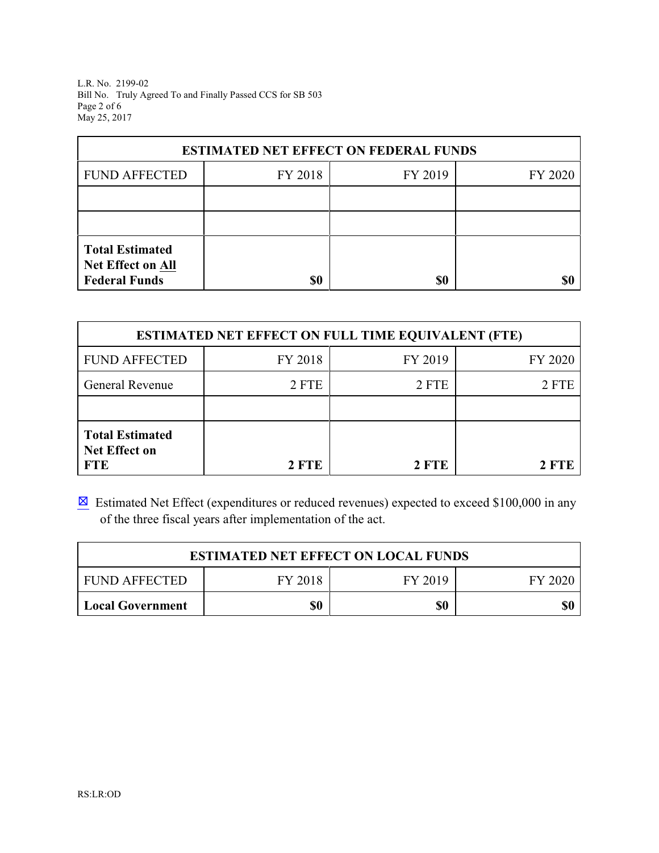L.R. No. 2199-02 Bill No. Truly Agreed To and Finally Passed CCS for SB 503 Page 2 of 6 May 25, 2017

| <b>ESTIMATED NET EFFECT ON FEDERAL FUNDS</b>                        |                               |     |    |  |  |  |  |
|---------------------------------------------------------------------|-------------------------------|-----|----|--|--|--|--|
| <b>FUND AFFECTED</b>                                                | FY 2018<br>FY 2019<br>FY 2020 |     |    |  |  |  |  |
|                                                                     |                               |     |    |  |  |  |  |
|                                                                     |                               |     |    |  |  |  |  |
| <b>Total Estimated</b><br>Net Effect on All<br><b>Federal Funds</b> |                               |     |    |  |  |  |  |
|                                                                     | \$0                           | \$0 | S( |  |  |  |  |

| <b>ESTIMATED NET EFFECT ON FULL TIME EQUIVALENT (FTE)</b>    |              |              |         |  |  |
|--------------------------------------------------------------|--------------|--------------|---------|--|--|
| <b>FUND AFFECTED</b>                                         | FY 2018      | FY 2019      | FY 2020 |  |  |
| <b>General Revenue</b>                                       | 2 FTE        | 2 FTE        | 2 FTE   |  |  |
|                                                              |              |              |         |  |  |
| <b>Total Estimated</b><br><b>Net Effect on</b><br><b>FTE</b> | <b>2 FTE</b> | <b>2 FTE</b> | 2 FTE   |  |  |

 $\boxtimes$  Estimated Net Effect (expenditures or reduced revenues) expected to exceed \$100,000 in any of the three fiscal years after implementation of the act.

| <b>ESTIMATED NET EFFECT ON LOCAL FUNDS</b>            |  |  |  |  |  |
|-------------------------------------------------------|--|--|--|--|--|
| FY 2018<br><b>FUND AFFECTED</b><br>FY 2019<br>FY 2020 |  |  |  |  |  |
| \$0<br>\$0<br>\$0<br><b>Local Government</b>          |  |  |  |  |  |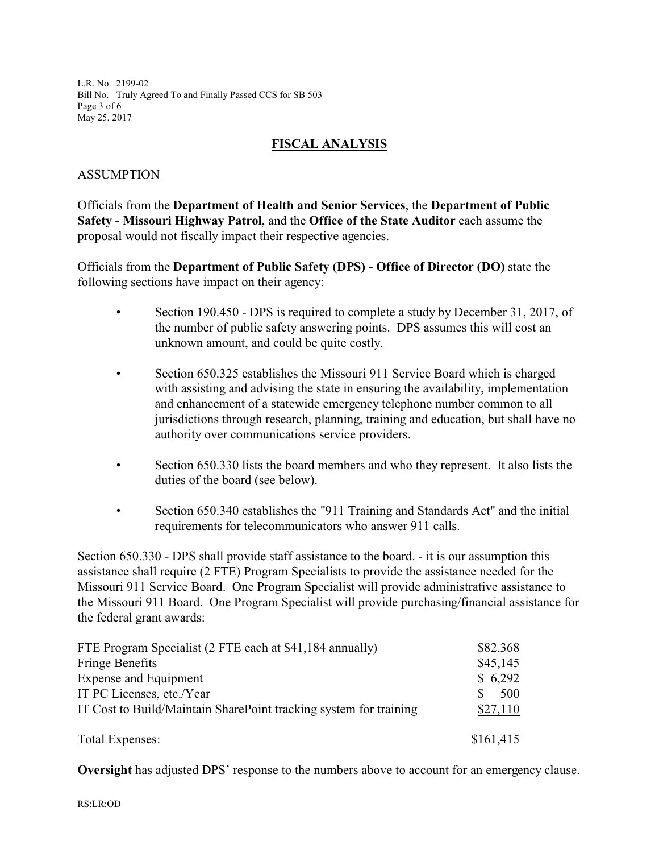L.R. No. 2199-02 Bill No. Truly Agreed To and Finally Passed CCS for SB 503 Page 3 of 6 May 25, 2017

# **FISCAL ANALYSIS**

## ASSUMPTION

Officials from the **Department of Health and Senior Services**, the **Department of Public Safety - Missouri Highway Patrol**, and the **Office of the State Auditor** each assume the proposal would not fiscally impact their respective agencies.

Officials from the **Department of Public Safety (DPS) - Office of Director (DO)** state the following sections have impact on their agency:

- Section 190.450 DPS is required to complete a study by December 31, 2017, of the number of public safety answering points. DPS assumes this will cost an unknown amount, and could be quite costly.
- Section 650.325 establishes the Missouri 911 Service Board which is charged with assisting and advising the state in ensuring the availability, implementation and enhancement of a statewide emergency telephone number common to all jurisdictions through research, planning, training and education, but shall have no authority over communications service providers.
- Section 650.330 lists the board members and who they represent. It also lists the duties of the board (see below).
- Section 650.340 establishes the "911 Training and Standards Act" and the initial requirements for telecommunicators who answer 911 calls.

Section 650.330 - DPS shall provide staff assistance to the board. - it is our assumption this assistance shall require (2 FTE) Program Specialists to provide the assistance needed for the Missouri 911 Service Board. One Program Specialist will provide administrative assistance to the Missouri 911 Board. One Program Specialist will provide purchasing/financial assistance for the federal grant awards:

| FTE Program Specialist (2 FTE each at \$41,184 annually)          | \$82,368  |
|-------------------------------------------------------------------|-----------|
| <b>Fringe Benefits</b>                                            | \$45,145  |
| <b>Expense and Equipment</b>                                      | \$6,292   |
| IT PC Licenses, etc./Year                                         | 500       |
| IT Cost to Build/Maintain SharePoint tracking system for training | \$27,110  |
| Total Expenses:                                                   | \$161,415 |

**Oversight** has adjusted DPS' response to the numbers above to account for an emergency clause.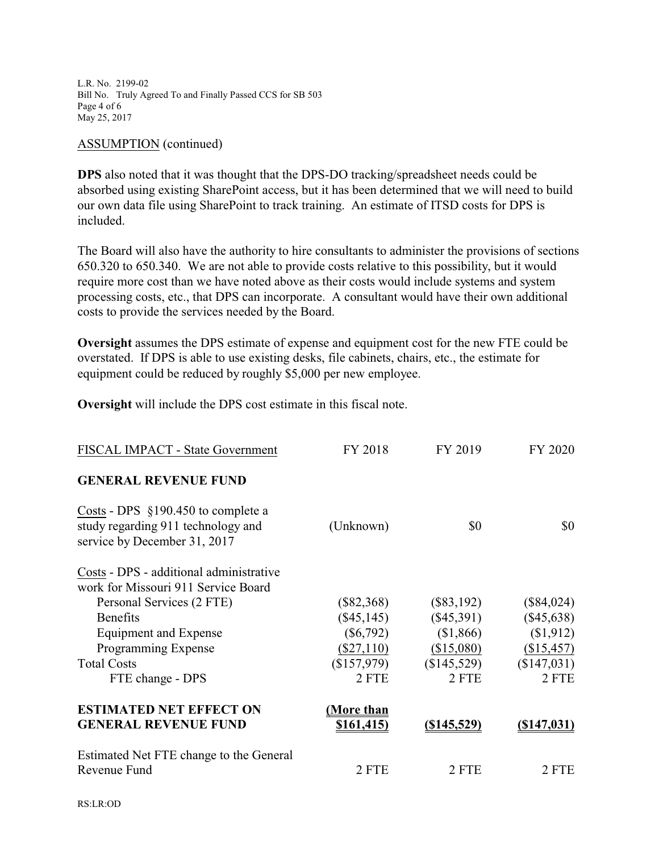L.R. No. 2199-02 Bill No. Truly Agreed To and Finally Passed CCS for SB 503 Page 4 of 6 May 25, 2017

#### ASSUMPTION (continued)

**DPS** also noted that it was thought that the DPS-DO tracking/spreadsheet needs could be absorbed using existing SharePoint access, but it has been determined that we will need to build our own data file using SharePoint to track training. An estimate of ITSD costs for DPS is included.

The Board will also have the authority to hire consultants to administer the provisions of sections 650.320 to 650.340. We are not able to provide costs relative to this possibility, but it would require more cost than we have noted above as their costs would include systems and system processing costs, etc., that DPS can incorporate. A consultant would have their own additional costs to provide the services needed by the Board.

**Oversight** assumes the DPS estimate of expense and equipment cost for the new FTE could be overstated. If DPS is able to use existing desks, file cabinets, chairs, etc., the estimate for equipment could be reduced by roughly \$5,000 per new employee.

**Oversight** will include the DPS cost estimate in this fiscal note.

| FISCAL IMPACT - State Government                                                                           | FY 2018           | FY 2019            | FY 2020            |
|------------------------------------------------------------------------------------------------------------|-------------------|--------------------|--------------------|
| <b>GENERAL REVENUE FUND</b>                                                                                |                   |                    |                    |
| Costs - DPS $$190.450$ to complete a<br>study regarding 911 technology and<br>service by December 31, 2017 | (Unknown)         | \$0                | \$0                |
| Costs - DPS - additional administrative                                                                    |                   |                    |                    |
| work for Missouri 911 Service Board                                                                        |                   |                    |                    |
| Personal Services (2 FTE)                                                                                  | $(\$82,368)$      | $(\$83,192)$       | $(\$84,024)$       |
| <b>Benefits</b>                                                                                            | $(\$45,145)$      | $(\$45,391)$       | $(\$45,638)$       |
| <b>Equipment and Expense</b>                                                                               | $(\$6,792)$       | \$1,866            | (\$1,912)          |
| Programming Expense                                                                                        | $(\$27,110)$      | (\$15,080)         | (\$15,457)         |
| <b>Total Costs</b>                                                                                         | $(\$157,979)$     | (\$145,529)        | (\$147,031)        |
| FTE change - DPS                                                                                           | 2 FTE             | 2 FTE              | 2 FTE              |
| <b>ESTIMATED NET EFFECT ON</b>                                                                             | (More than        |                    |                    |
| <b>GENERAL REVENUE FUND</b>                                                                                | <u>\$161,415)</u> | <u>(\$145,529)</u> | <u>(\$147,031)</u> |
| Estimated Net FTE change to the General<br>Revenue Fund                                                    | 2 FTE             | 2 FTE              | 2 FTE              |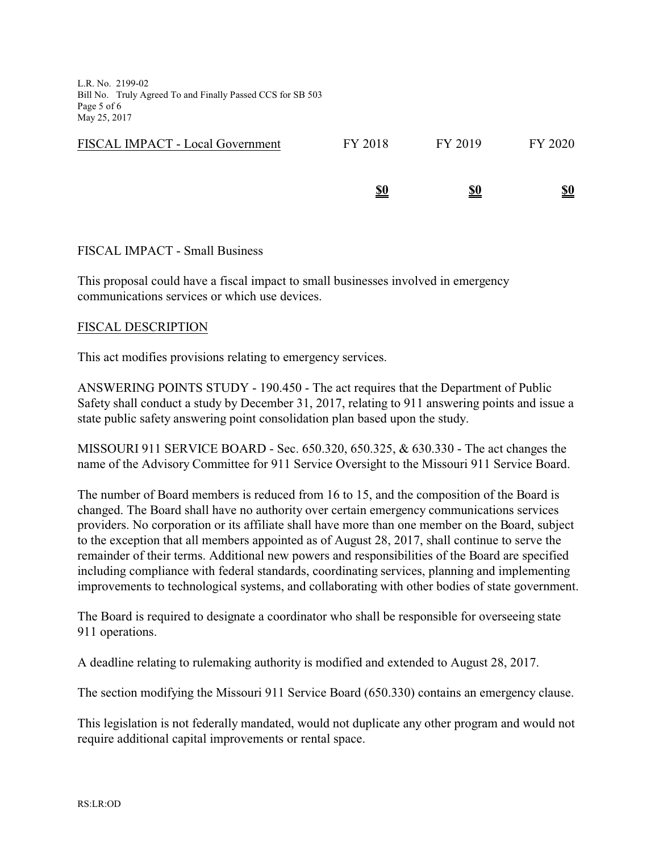L.R. No. 2199-02 Bill No. Truly Agreed To and Finally Passed CCS for SB 503 Page 5 of 6 May 25, 2017

|                                         | <u>\$0</u> | <u>\$0</u> | <u>\$0</u> |
|-----------------------------------------|------------|------------|------------|
| <b>FISCAL IMPACT - Local Government</b> | FY 2018    | FY 2019    | FY 2020    |

### FISCAL IMPACT - Small Business

This proposal could have a fiscal impact to small businesses involved in emergency communications services or which use devices.

### FISCAL DESCRIPTION

This act modifies provisions relating to emergency services.

ANSWERING POINTS STUDY - 190.450 - The act requires that the Department of Public Safety shall conduct a study by December 31, 2017, relating to 911 answering points and issue a state public safety answering point consolidation plan based upon the study.

MISSOURI 911 SERVICE BOARD - Sec. 650.320, 650.325, & 630.330 - The act changes the name of the Advisory Committee for 911 Service Oversight to the Missouri 911 Service Board.

The number of Board members is reduced from 16 to 15, and the composition of the Board is changed. The Board shall have no authority over certain emergency communications services providers. No corporation or its affiliate shall have more than one member on the Board, subject to the exception that all members appointed as of August 28, 2017, shall continue to serve the remainder of their terms. Additional new powers and responsibilities of the Board are specified including compliance with federal standards, coordinating services, planning and implementing improvements to technological systems, and collaborating with other bodies of state government.

The Board is required to designate a coordinator who shall be responsible for overseeing state 911 operations.

A deadline relating to rulemaking authority is modified and extended to August 28, 2017.

The section modifying the Missouri 911 Service Board (650.330) contains an emergency clause.

This legislation is not federally mandated, would not duplicate any other program and would not require additional capital improvements or rental space.